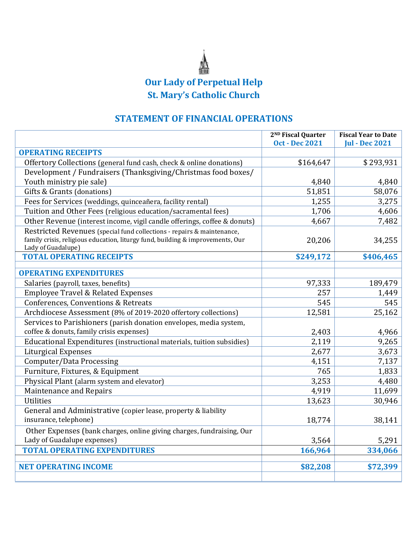## **Our Lady of Perpetual Help St. Mary's Catholic Church**

## **STATEMENT OF FINANCIAL OPERATIONS**

|                                                                                                                                                                                | 2 <sup>ND</sup> Fiscal Quarter<br><b>Oct - Dec 2021</b> | <b>Fiscal Year to Date</b><br><b>Jul - Dec 2021</b> |
|--------------------------------------------------------------------------------------------------------------------------------------------------------------------------------|---------------------------------------------------------|-----------------------------------------------------|
| <b>OPERATING RECEIPTS</b>                                                                                                                                                      |                                                         |                                                     |
| Offertory Collections (general fund cash, check & online donations)                                                                                                            | \$164,647                                               | \$293,931                                           |
| Development / Fundraisers (Thanksgiving/Christmas food boxes/                                                                                                                  |                                                         |                                                     |
| Youth ministry pie sale)                                                                                                                                                       | 4,840                                                   | 4,840                                               |
| Gifts & Grants (donations)                                                                                                                                                     | 51,851                                                  | 58,076                                              |
| Fees for Services (weddings, quinceañera, facility rental)                                                                                                                     | 1,255                                                   | 3,275                                               |
| Tuition and Other Fees (religious education/sacramental fees)                                                                                                                  | 1,706                                                   | 4,606                                               |
| Other Revenue (interest income, vigil candle offerings, coffee & donuts)                                                                                                       | 4,667                                                   | 7,482                                               |
| Restricted Revenues (special fund collections - repairs & maintenance,<br>family crisis, religious education, liturgy fund, building & improvements, Our<br>Lady of Guadalupe) | 20,206                                                  | 34,255                                              |
| <b>TOTAL OPERATING RECEIPTS</b>                                                                                                                                                | \$249,172                                               | \$406,465                                           |
| <b>OPERATING EXPENDITURES</b>                                                                                                                                                  |                                                         |                                                     |
| Salaries (payroll, taxes, benefits)                                                                                                                                            | 97,333                                                  | 189,479                                             |
| <b>Employee Travel &amp; Related Expenses</b>                                                                                                                                  | 257                                                     | 1,449                                               |
| Conferences, Conventions & Retreats                                                                                                                                            | 545                                                     | 545                                                 |
| Archdiocese Assessment (8% of 2019-2020 offertory collections)                                                                                                                 | 12,581                                                  | 25,162                                              |
| Services to Parishioners (parish donation envelopes, media system,                                                                                                             |                                                         |                                                     |
| coffee & donuts, family crisis expenses)                                                                                                                                       | 2,403                                                   | 4,966                                               |
| Educational Expenditures (instructional materials, tuition subsidies)                                                                                                          | 2,119                                                   | 9,265                                               |
| <b>Liturgical Expenses</b>                                                                                                                                                     | 2,677                                                   | 3,673                                               |
| Computer/Data Processing                                                                                                                                                       | 4,151                                                   | 7,137                                               |
| Furniture, Fixtures, & Equipment                                                                                                                                               | 765                                                     | 1,833                                               |
| Physical Plant (alarm system and elevator)                                                                                                                                     | 3,253                                                   | 4,480                                               |
| Maintenance and Repairs                                                                                                                                                        | 4,919                                                   | 11,699                                              |
| <b>Utilities</b>                                                                                                                                                               | 13,623                                                  | 30,946                                              |
| General and Administrative (copier lease, property & liability<br>insurance, telephone)                                                                                        | 18,774                                                  | 38,141                                              |
| Other Expenses (bank charges, online giving charges, fundraising, Our                                                                                                          |                                                         |                                                     |
| Lady of Guadalupe expenses)                                                                                                                                                    | 3,564                                                   | 5,291                                               |
| <b>TOTAL OPERATING EXPENDITURES</b>                                                                                                                                            | 166,964                                                 | 334,066                                             |
| <b>NET OPERATING INCOME</b>                                                                                                                                                    | \$82,208                                                | \$72,399                                            |